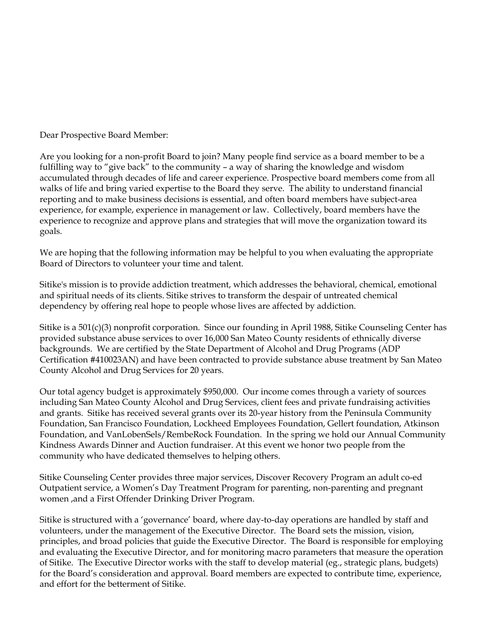Dear Prospective Board Member:

Are you looking for a non-profit Board to join? Many people find service as a board member to be a fulfilling way to "give back" to the community – a way of sharing the knowledge and wisdom accumulated through decades of life and career experience. Prospective board members come from all walks of life and bring varied expertise to the Board they serve. The ability to understand financial reporting and to make business decisions is essential, and often board members have subject-area experience, for example, experience in management or law. Collectively, board members have the experience to recognize and approve plans and strategies that will move the organization toward its goals.

We are hoping that the following information may be helpful to you when evaluating the appropriate Board of Directors to volunteer your time and talent.

Sitike's mission is to provide addiction treatment, which addresses the behavioral, chemical, emotional and spiritual needs of its clients. Sitike strives to transform the despair of untreated chemical dependency by offering real hope to people whose lives are affected by addiction.

Sitike is a 501(c)(3) nonprofit corporation. Since our founding in April 1988, Sitike Counseling Center has provided substance abuse services to over 16,000 San Mateo County residents of ethnically diverse backgrounds. We are certified by the State Department of Alcohol and Drug Programs (ADP Certification #410023AN) and have been contracted to provide substance abuse treatment by San Mateo County Alcohol and Drug Services for 20 years.

Our total agency budget is approximately \$950,000. Our income comes through a variety of sources including San Mateo County Alcohol and Drug Services, client fees and private fundraising activities and grants. Sitike has received several grants over its 20-year history from the Peninsula Community Foundation, San Francisco Foundation, Lockheed Employees Foundation, Gellert foundation, Atkinson Foundation, and VanLobenSels/RembeRock Foundation. In the spring we hold our Annual Community Kindness Awards Dinner and Auction fundraiser. At this event we honor two people from the community who have dedicated themselves to helping others.

Sitike Counseling Center provides three major services, Discover Recovery Program an adult co-ed Outpatient service, a Women's Day Treatment Program for parenting, non-parenting and pregnant women ,and a First Offender Drinking Driver Program.

Sitike is structured with a 'governance' board, where day-to-day operations are handled by staff and volunteers, under the management of the Executive Director. The Board sets the mission, vision, principles, and broad policies that guide the Executive Director. The Board is responsible for employing and evaluating the Executive Director, and for monitoring macro parameters that measure the operation of Sitike. The Executive Director works with the staff to develop material (eg., strategic plans, budgets) for the Board's consideration and approval. Board members are expected to contribute time, experience, and effort for the betterment of Sitike.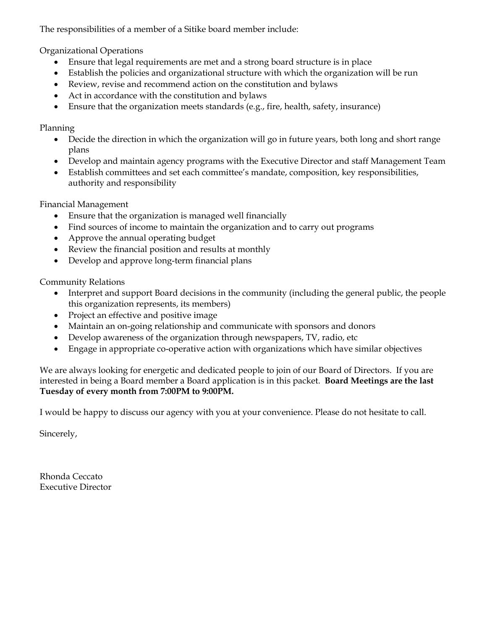The responsibilities of a member of a Sitike board member include:

Organizational Operations

- Ensure that legal requirements are met and a strong board structure is in place
- Establish the policies and organizational structure with which the organization will be run
- Review, revise and recommend action on the constitution and bylaws
- Act in accordance with the constitution and bylaws
- Ensure that the organization meets standards (e.g., fire, health, safety, insurance)

Planning

- Decide the direction in which the organization will go in future years, both long and short range plans
- Develop and maintain agency programs with the Executive Director and staff Management Team
- Establish committees and set each committee's mandate, composition, key responsibilities, authority and responsibility

Financial Management

- Ensure that the organization is managed well financially
- Find sources of income to maintain the organization and to carry out programs
- Approve the annual operating budget
- Review the financial position and results at monthly
- Develop and approve long-term financial plans

Community Relations

- Interpret and support Board decisions in the community (including the general public, the people this organization represents, its members)
- Project an effective and positive image
- Maintain an on-going relationship and communicate with sponsors and donors
- Develop awareness of the organization through newspapers, TV, radio, etc
- Engage in appropriate co-operative action with organizations which have similar objectives

We are always looking for energetic and dedicated people to join of our Board of Directors. If you are interested in being a Board member a Board application is in this packet. **Board Meetings are the last Tuesday of every month from 7:00PM to 9:00PM.** 

I would be happy to discuss our agency with you at your convenience. Please do not hesitate to call.

Sincerely,

Rhonda Ceccato Executive Director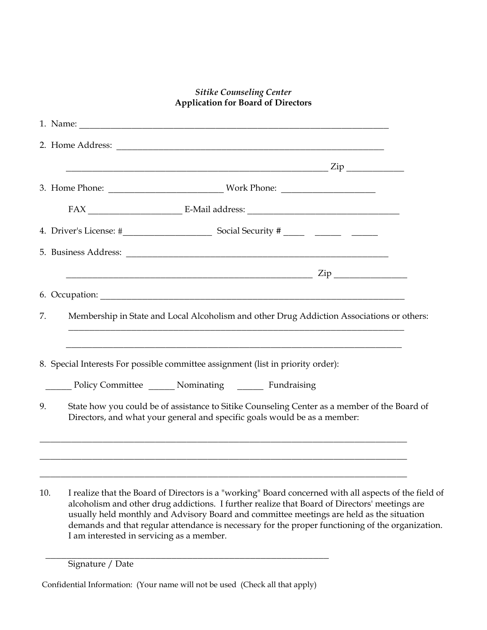## *Sitike Counseling Center* **Application for Board of Directors**

| 7.  | Membership in State and Local Alcoholism and other Drug Addiction Associations or others:                                                                                                              |
|-----|--------------------------------------------------------------------------------------------------------------------------------------------------------------------------------------------------------|
|     | <u> 1989 - Johann John Harry, mars eta bat eta bat eta bat eta bat eta bat eta bat eta bat eta bat eta bat eta b</u>                                                                                   |
|     | 8. Special Interests For possible committee assignment (list in priority order):                                                                                                                       |
|     | Policy Committee _______ Nominating ________ Fundraising                                                                                                                                               |
| 9.  | State how you could be of assistance to Sitike Counseling Center as a member of the Board of<br>Directors, and what your general and specific goals would be as a member:                              |
|     |                                                                                                                                                                                                        |
|     |                                                                                                                                                                                                        |
| 10. | I realize that the Board of Directors is a "working" Board concerned with all aspects of the field of<br>alcoholism and other drug addictions. I further realize that Board of Directors' meetings are |

alcoholism and other drug addictions. I further realize that Board of Directors' meetings are usually held monthly and Advisory Board and committee meetings are held as the situation demands and that regular attendance is necessary for the proper functioning of the organization. I am interested in servicing as a member.

Signature / Date

Confidential Information: (Your name will not be used (Check all that apply)